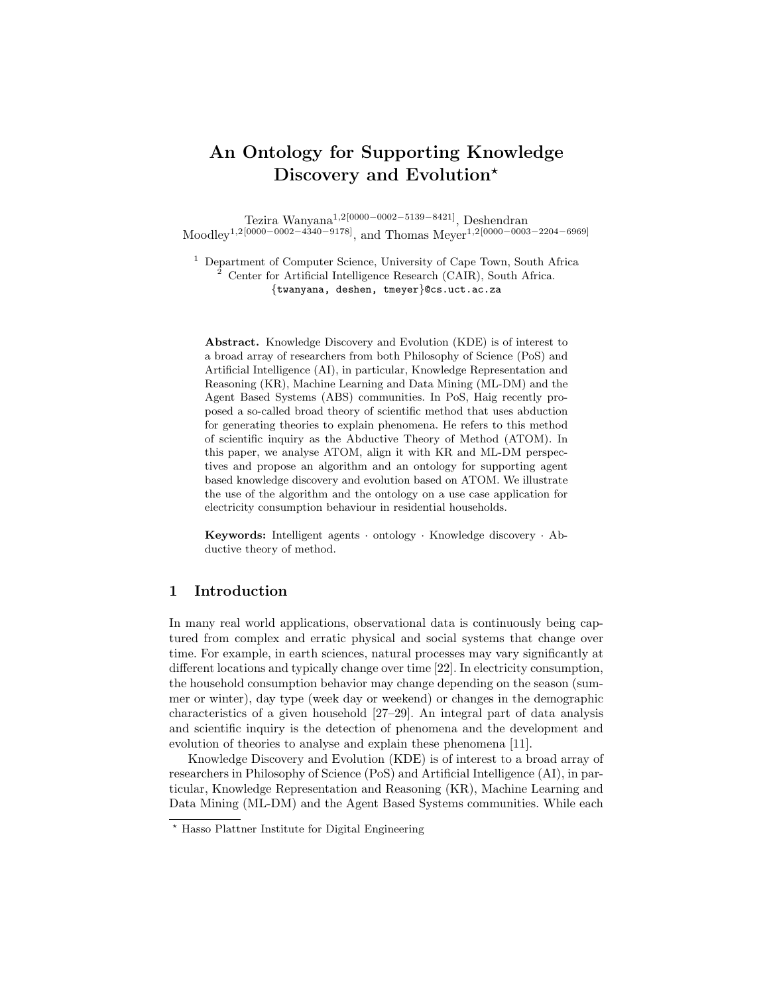# An Ontology for Supporting Knowledge Discovery and Evolution<sup>\*</sup>

Tezira Wanyana1,2[0000−0002−5139−8421], Deshendran Moodley1,2[0000−0002−4340−9178], and Thomas Meyer1,2[0000−0003−2204−6969]

<sup>1</sup> Department of Computer Science, University of Cape Town, South Africa <sup>2</sup> Center for Artificial Intelligence Research (CAIR), South Africa. {twanyana, deshen, tmeyer}@cs.uct.ac.za

Abstract. Knowledge Discovery and Evolution (KDE) is of interest to a broad array of researchers from both Philosophy of Science (PoS) and Artificial Intelligence (AI), in particular, Knowledge Representation and Reasoning (KR), Machine Learning and Data Mining (ML-DM) and the Agent Based Systems (ABS) communities. In PoS, Haig recently proposed a so-called broad theory of scientific method that uses abduction for generating theories to explain phenomena. He refers to this method of scientific inquiry as the Abductive Theory of Method (ATOM). In this paper, we analyse ATOM, align it with KR and ML-DM perspectives and propose an algorithm and an ontology for supporting agent based knowledge discovery and evolution based on ATOM. We illustrate the use of the algorithm and the ontology on a use case application for electricity consumption behaviour in residential households.

Keywords: Intelligent agents · ontology · Knowledge discovery · Abductive theory of method.

# 1 Introduction

In many real world applications, observational data is continuously being captured from complex and erratic physical and social systems that change over time. For example, in earth sciences, natural processes may vary significantly at different locations and typically change over time [22]. In electricity consumption, the household consumption behavior may change depending on the season (summer or winter), day type (week day or weekend) or changes in the demographic characteristics of a given household [27–29]. An integral part of data analysis and scientific inquiry is the detection of phenomena and the development and evolution of theories to analyse and explain these phenomena [11].

Knowledge Discovery and Evolution (KDE) is of interest to a broad array of researchers in Philosophy of Science (PoS) and Artificial Intelligence (AI), in particular, Knowledge Representation and Reasoning (KR), Machine Learning and Data Mining (ML-DM) and the Agent Based Systems communities. While each

<sup>?</sup> Hasso Plattner Institute for Digital Engineering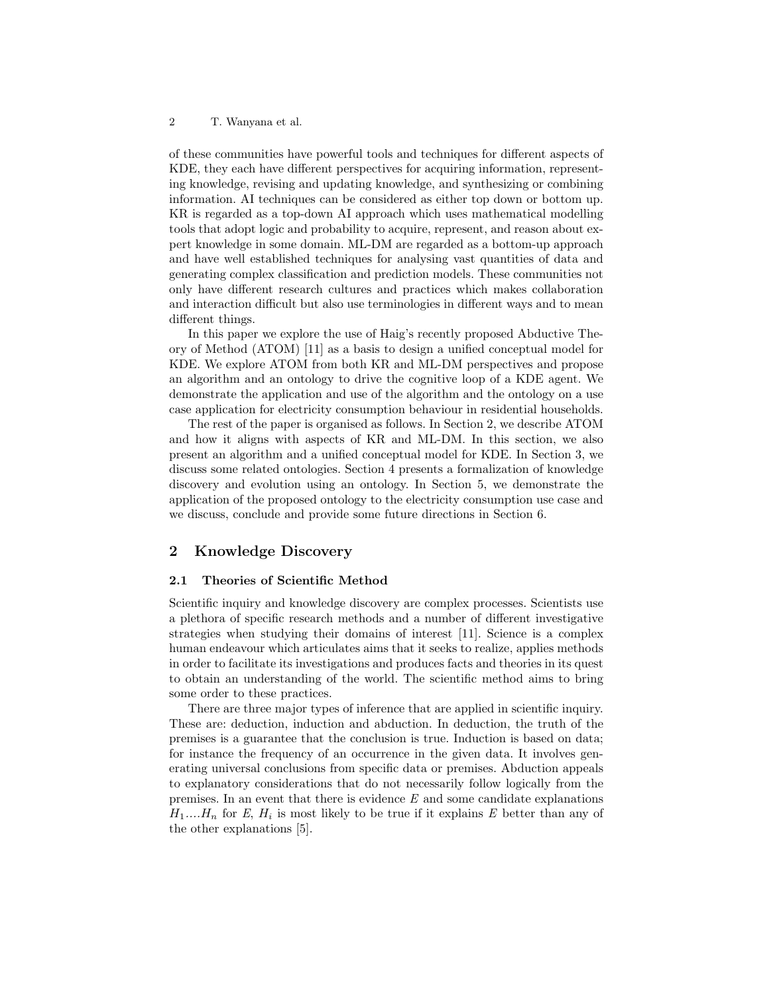of these communities have powerful tools and techniques for different aspects of KDE, they each have different perspectives for acquiring information, representing knowledge, revising and updating knowledge, and synthesizing or combining information. AI techniques can be considered as either top down or bottom up. KR is regarded as a top-down AI approach which uses mathematical modelling tools that adopt logic and probability to acquire, represent, and reason about expert knowledge in some domain. ML-DM are regarded as a bottom-up approach and have well established techniques for analysing vast quantities of data and generating complex classification and prediction models. These communities not only have different research cultures and practices which makes collaboration and interaction difficult but also use terminologies in different ways and to mean different things.

In this paper we explore the use of Haig's recently proposed Abductive Theory of Method (ATOM) [11] as a basis to design a unified conceptual model for KDE. We explore ATOM from both KR and ML-DM perspectives and propose an algorithm and an ontology to drive the cognitive loop of a KDE agent. We demonstrate the application and use of the algorithm and the ontology on a use case application for electricity consumption behaviour in residential households.

The rest of the paper is organised as follows. In Section 2, we describe ATOM and how it aligns with aspects of KR and ML-DM. In this section, we also present an algorithm and a unified conceptual model for KDE. In Section 3, we discuss some related ontologies. Section 4 presents a formalization of knowledge discovery and evolution using an ontology. In Section 5, we demonstrate the application of the proposed ontology to the electricity consumption use case and we discuss, conclude and provide some future directions in Section 6.

# 2 Knowledge Discovery

#### 2.1 Theories of Scientific Method

Scientific inquiry and knowledge discovery are complex processes. Scientists use a plethora of specific research methods and a number of different investigative strategies when studying their domains of interest [11]. Science is a complex human endeavour which articulates aims that it seeks to realize, applies methods in order to facilitate its investigations and produces facts and theories in its quest to obtain an understanding of the world. The scientific method aims to bring some order to these practices.

There are three major types of inference that are applied in scientific inquiry. These are: deduction, induction and abduction. In deduction, the truth of the premises is a guarantee that the conclusion is true. Induction is based on data; for instance the frequency of an occurrence in the given data. It involves generating universal conclusions from specific data or premises. Abduction appeals to explanatory considerations that do not necessarily follow logically from the premises. In an event that there is evidence  $E$  and some candidate explanations  $H_1...H_n$  for E,  $H_i$  is most likely to be true if it explains E better than any of the other explanations [5].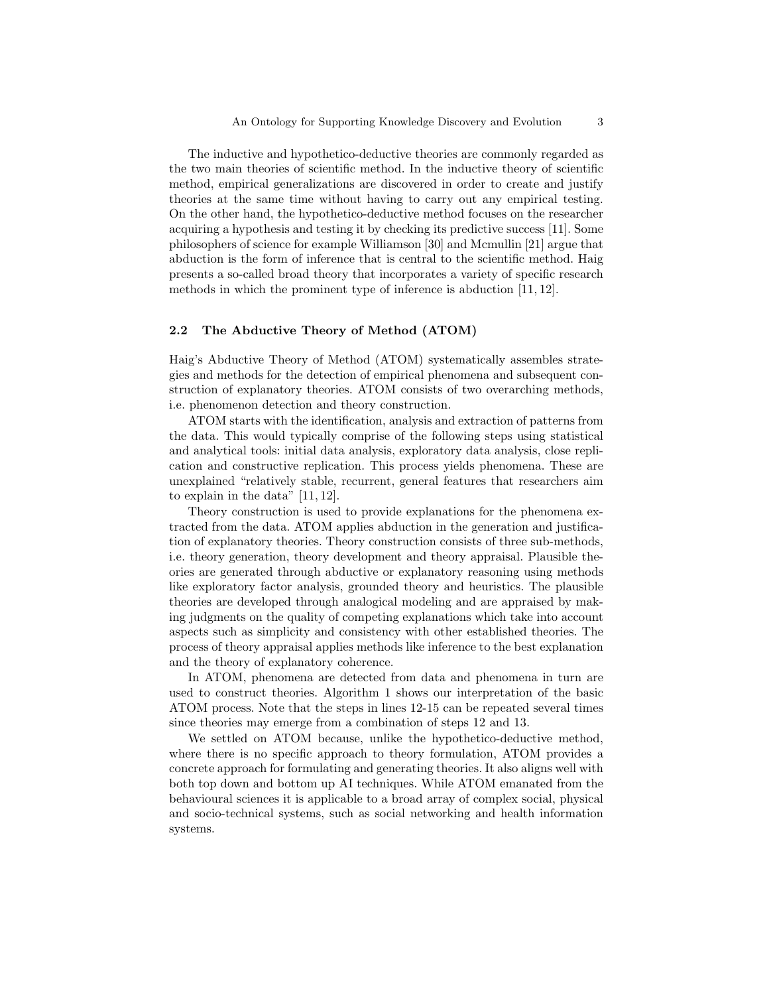The inductive and hypothetico-deductive theories are commonly regarded as the two main theories of scientific method. In the inductive theory of scientific method, empirical generalizations are discovered in order to create and justify theories at the same time without having to carry out any empirical testing. On the other hand, the hypothetico-deductive method focuses on the researcher acquiring a hypothesis and testing it by checking its predictive success [11]. Some philosophers of science for example Williamson [30] and Mcmullin [21] argue that abduction is the form of inference that is central to the scientific method. Haig presents a so-called broad theory that incorporates a variety of specific research methods in which the prominent type of inference is abduction [11, 12].

#### 2.2 The Abductive Theory of Method (ATOM)

Haig's Abductive Theory of Method (ATOM) systematically assembles strategies and methods for the detection of empirical phenomena and subsequent construction of explanatory theories. ATOM consists of two overarching methods, i.e. phenomenon detection and theory construction.

ATOM starts with the identification, analysis and extraction of patterns from the data. This would typically comprise of the following steps using statistical and analytical tools: initial data analysis, exploratory data analysis, close replication and constructive replication. This process yields phenomena. These are unexplained "relatively stable, recurrent, general features that researchers aim to explain in the data" [11, 12].

Theory construction is used to provide explanations for the phenomena extracted from the data. ATOM applies abduction in the generation and justification of explanatory theories. Theory construction consists of three sub-methods, i.e. theory generation, theory development and theory appraisal. Plausible theories are generated through abductive or explanatory reasoning using methods like exploratory factor analysis, grounded theory and heuristics. The plausible theories are developed through analogical modeling and are appraised by making judgments on the quality of competing explanations which take into account aspects such as simplicity and consistency with other established theories. The process of theory appraisal applies methods like inference to the best explanation and the theory of explanatory coherence.

In ATOM, phenomena are detected from data and phenomena in turn are used to construct theories. Algorithm 1 shows our interpretation of the basic ATOM process. Note that the steps in lines 12-15 can be repeated several times since theories may emerge from a combination of steps 12 and 13.

We settled on ATOM because, unlike the hypothetico-deductive method, where there is no specific approach to theory formulation, ATOM provides a concrete approach for formulating and generating theories. It also aligns well with both top down and bottom up AI techniques. While ATOM emanated from the behavioural sciences it is applicable to a broad array of complex social, physical and socio-technical systems, such as social networking and health information systems.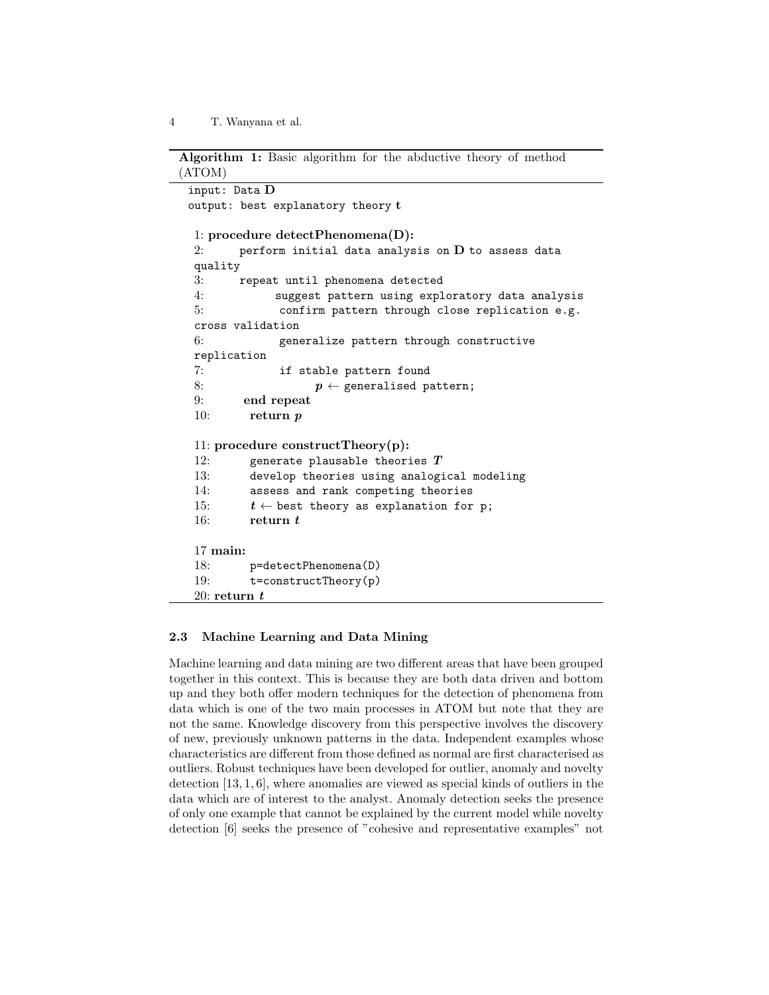```
Algorithm 1: Basic algorithm for the abductive theory of method
(ATOM)
 input: Data D
 output: best explanatory theory t
  1: procedure detectPhenomena(D):
  2: perform initial data analysis on D to assess data
  quality
  3: repeat until phenomena detected
  4: suggest pattern using exploratory data analysis
  5: confirm pattern through close replication e.g.
  cross validation
  6: generalize pattern through constructive
  replication
  7: if stable pattern found
  8: p \leftarrow generalised pattern;
  9: end repeat
  10: return p11: procedure constructTheory(p):
  12: generate plausable theories T13: develop theories using analogical modeling
  14: assess and rank competing theories
  15: t \leftarrow best theory as explanation for p;
  16: return t17 main:
  18: p=detectPhenomena(D)
  19: t=constructTheory(p)
  20: \mathbf{return}\;\textit{t}
```
## 2.3 Machine Learning and Data Mining

Machine learning and data mining are two different areas that have been grouped together in this context. This is because they are both data driven and bottom up and they both offer modern techniques for the detection of phenomena from data which is one of the two main processes in ATOM but note that they are not the same. Knowledge discovery from this perspective involves the discovery of new, previously unknown patterns in the data. Independent examples whose characteristics are different from those defined as normal are first characterised as outliers. Robust techniques have been developed for outlier, anomaly and novelty detection [13, 1, 6], where anomalies are viewed as special kinds of outliers in the data which are of interest to the analyst. Anomaly detection seeks the presence of only one example that cannot be explained by the current model while novelty detection [6] seeks the presence of "cohesive and representative examples" not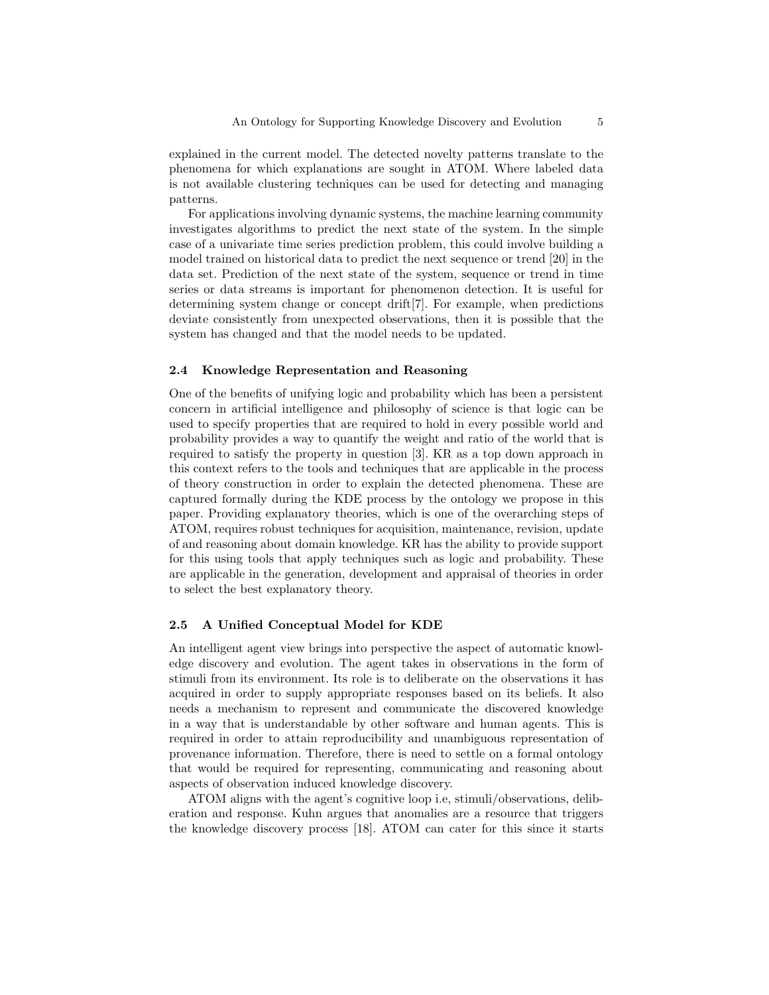explained in the current model. The detected novelty patterns translate to the phenomena for which explanations are sought in ATOM. Where labeled data is not available clustering techniques can be used for detecting and managing patterns.

For applications involving dynamic systems, the machine learning community investigates algorithms to predict the next state of the system. In the simple case of a univariate time series prediction problem, this could involve building a model trained on historical data to predict the next sequence or trend [20] in the data set. Prediction of the next state of the system, sequence or trend in time series or data streams is important for phenomenon detection. It is useful for determining system change or concept drift[7]. For example, when predictions deviate consistently from unexpected observations, then it is possible that the system has changed and that the model needs to be updated.

#### 2.4 Knowledge Representation and Reasoning

One of the benefits of unifying logic and probability which has been a persistent concern in artificial intelligence and philosophy of science is that logic can be used to specify properties that are required to hold in every possible world and probability provides a way to quantify the weight and ratio of the world that is required to satisfy the property in question [3]. KR as a top down approach in this context refers to the tools and techniques that are applicable in the process of theory construction in order to explain the detected phenomena. These are captured formally during the KDE process by the ontology we propose in this paper. Providing explanatory theories, which is one of the overarching steps of ATOM, requires robust techniques for acquisition, maintenance, revision, update of and reasoning about domain knowledge. KR has the ability to provide support for this using tools that apply techniques such as logic and probability. These are applicable in the generation, development and appraisal of theories in order to select the best explanatory theory.

#### 2.5 A Unified Conceptual Model for KDE

An intelligent agent view brings into perspective the aspect of automatic knowledge discovery and evolution. The agent takes in observations in the form of stimuli from its environment. Its role is to deliberate on the observations it has acquired in order to supply appropriate responses based on its beliefs. It also needs a mechanism to represent and communicate the discovered knowledge in a way that is understandable by other software and human agents. This is required in order to attain reproducibility and unambiguous representation of provenance information. Therefore, there is need to settle on a formal ontology that would be required for representing, communicating and reasoning about aspects of observation induced knowledge discovery.

ATOM aligns with the agent's cognitive loop i.e, stimuli/observations, deliberation and response. Kuhn argues that anomalies are a resource that triggers the knowledge discovery process [18]. ATOM can cater for this since it starts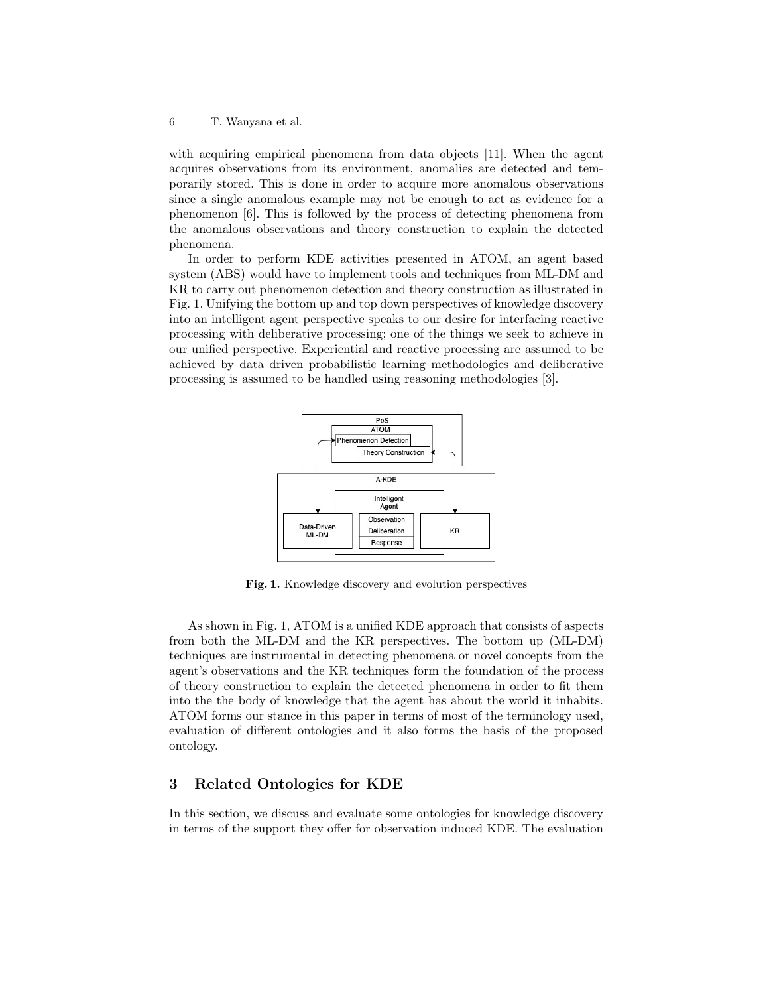with acquiring empirical phenomena from data objects [11]. When the agent acquires observations from its environment, anomalies are detected and temporarily stored. This is done in order to acquire more anomalous observations since a single anomalous example may not be enough to act as evidence for a phenomenon [6]. This is followed by the process of detecting phenomena from the anomalous observations and theory construction to explain the detected phenomena.

In order to perform KDE activities presented in ATOM, an agent based system (ABS) would have to implement tools and techniques from ML-DM and KR to carry out phenomenon detection and theory construction as illustrated in Fig. 1. Unifying the bottom up and top down perspectives of knowledge discovery into an intelligent agent perspective speaks to our desire for interfacing reactive processing with deliberative processing; one of the things we seek to achieve in our unified perspective. Experiential and reactive processing are assumed to be achieved by data driven probabilistic learning methodologies and deliberative processing is assumed to be handled using reasoning methodologies [3].



Fig. 1. Knowledge discovery and evolution perspectives

As shown in Fig. 1, ATOM is a unified KDE approach that consists of aspects from both the ML-DM and the KR perspectives. The bottom up (ML-DM) techniques are instrumental in detecting phenomena or novel concepts from the agent's observations and the KR techniques form the foundation of the process of theory construction to explain the detected phenomena in order to fit them into the the body of knowledge that the agent has about the world it inhabits. ATOM forms our stance in this paper in terms of most of the terminology used, evaluation of different ontologies and it also forms the basis of the proposed ontology.

# 3 Related Ontologies for KDE

In this section, we discuss and evaluate some ontologies for knowledge discovery in terms of the support they offer for observation induced KDE. The evaluation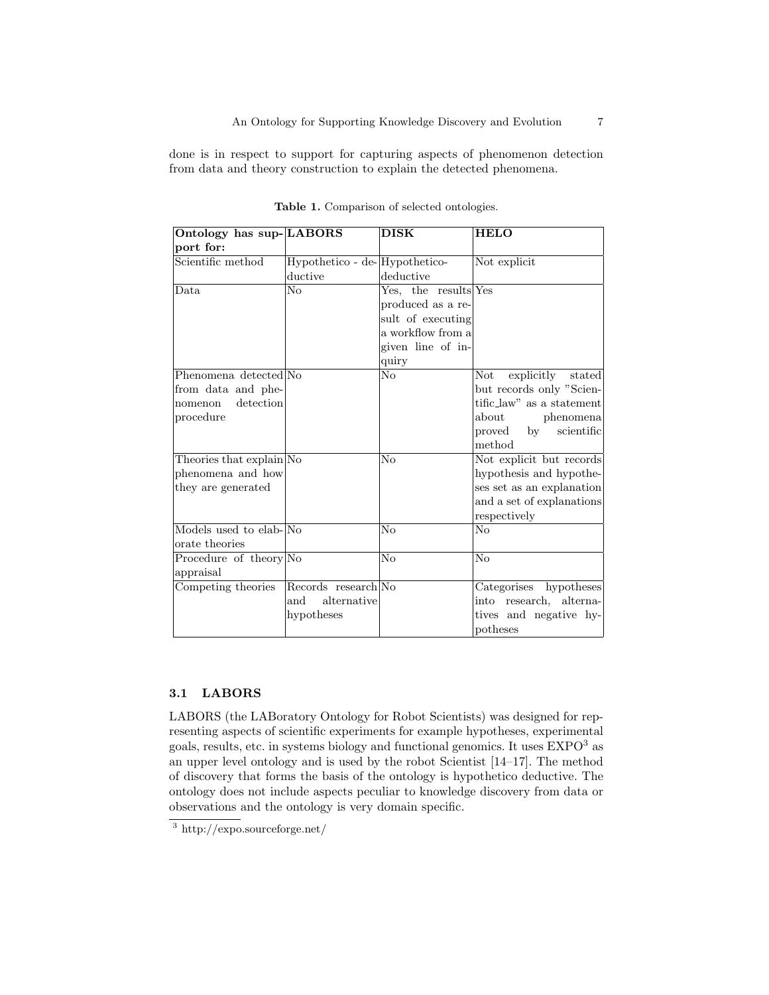done is in respect to support for capturing aspects of phenomenon detection from data and theory construction to explain the detected phenomena.

| Ontology has sup-LABORS  |                               | <b>DISK</b>            | <b>HELO</b>               |
|--------------------------|-------------------------------|------------------------|---------------------------|
| port for:                |                               |                        |                           |
| Scientific method        | Hypothetico - de-Hypothetico- |                        | Not explicit              |
|                          | ductive                       | deductive              |                           |
| Data.                    | $\overline{\text{No}}$        | Yes, the results Yes   |                           |
|                          |                               | produced as a re-      |                           |
|                          |                               | sult of executing      |                           |
|                          |                               | a workflow from a      |                           |
|                          |                               | given line of in-      |                           |
|                          |                               | quiry                  |                           |
| Phenomena detected No    |                               | No                     | explicitly stated<br>Not  |
| from data and phe-       |                               |                        | but records only "Scien-  |
| detection<br>nomenon     |                               |                        | tific_law" as a statement |
| procedure                |                               |                        | about<br>phenomena        |
|                          |                               |                        | scientific<br>proved by   |
|                          |                               |                        | method                    |
| Theories that explain No |                               | No                     | Not explicit but records  |
| phenomena and how        |                               |                        | hypothesis and hypothe-   |
| they are generated       |                               |                        | ses set as an explanation |
|                          |                               |                        | and a set of explanations |
|                          |                               |                        | respectively              |
| Models used to elab-No   |                               | $\overline{\text{No}}$ | No                        |
| orate theories           |                               |                        |                           |
| Procedure of theory No   |                               | N <sub>o</sub>         | N <sub>o</sub>            |
| appraisal                |                               |                        |                           |
| Competing theories       | Records research No           |                        | Categorises hypotheses    |
|                          | and<br>alternative            |                        | into research, alterna-   |
|                          | hypotheses                    |                        | tives and negative hy-    |
|                          |                               |                        | potheses                  |

Table 1. Comparison of selected ontologies.

## 3.1 LABORS

LABORS (the LABoratory Ontology for Robot Scientists) was designed for representing aspects of scientific experiments for example hypotheses, experimental goals, results, etc. in systems biology and functional genomics. It uses EXPO<sup>3</sup> as an upper level ontology and is used by the robot Scientist [14–17]. The method of discovery that forms the basis of the ontology is hypothetico deductive. The ontology does not include aspects peculiar to knowledge discovery from data or observations and the ontology is very domain specific.

<sup>3</sup> http://expo.sourceforge.net/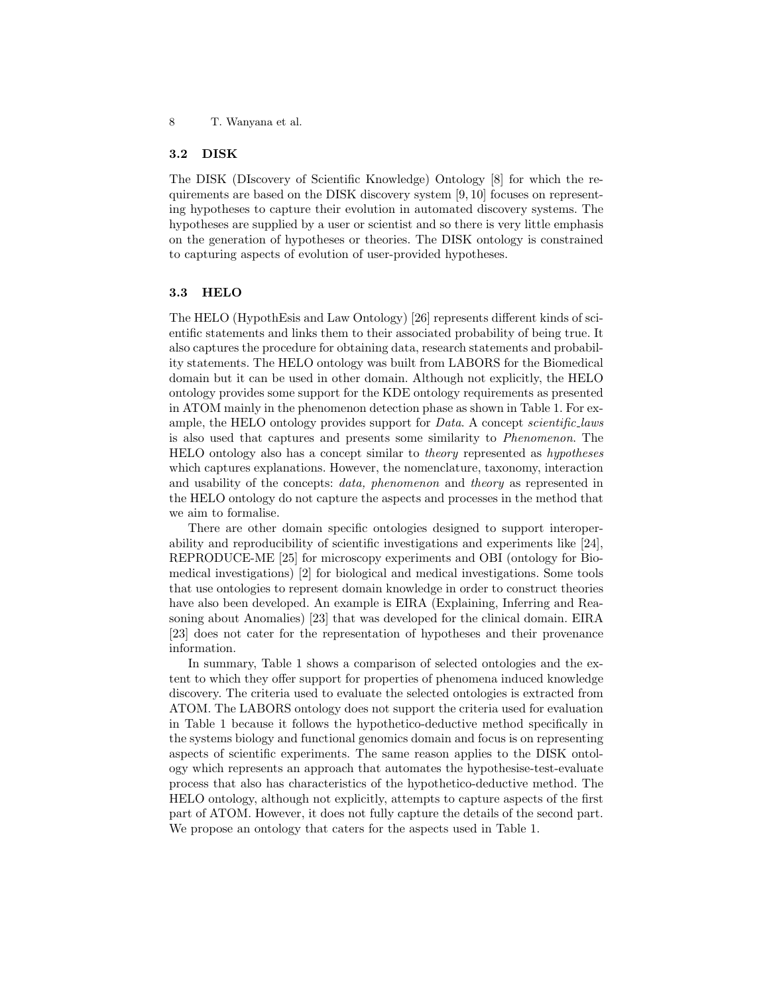#### 3.2 DISK

The DISK (DIscovery of Scientific Knowledge) Ontology [8] for which the requirements are based on the DISK discovery system [9, 10] focuses on representing hypotheses to capture their evolution in automated discovery systems. The hypotheses are supplied by a user or scientist and so there is very little emphasis on the generation of hypotheses or theories. The DISK ontology is constrained to capturing aspects of evolution of user-provided hypotheses.

#### 3.3 HELO

The HELO (HypothEsis and Law Ontology) [26] represents different kinds of scientific statements and links them to their associated probability of being true. It also captures the procedure for obtaining data, research statements and probability statements. The HELO ontology was built from LABORS for the Biomedical domain but it can be used in other domain. Although not explicitly, the HELO ontology provides some support for the KDE ontology requirements as presented in ATOM mainly in the phenomenon detection phase as shown in Table 1. For example, the HELO ontology provides support for *Data*. A concept *scientific*-laws is also used that captures and presents some similarity to Phenomenon. The HELO ontology also has a concept similar to theory represented as hypotheses which captures explanations. However, the nomenclature, taxonomy, interaction and usability of the concepts: data, phenomenon and theory as represented in the HELO ontology do not capture the aspects and processes in the method that we aim to formalise.

There are other domain specific ontologies designed to support interoperability and reproducibility of scientific investigations and experiments like [24], REPRODUCE-ME [25] for microscopy experiments and OBI (ontology for Biomedical investigations) [2] for biological and medical investigations. Some tools that use ontologies to represent domain knowledge in order to construct theories have also been developed. An example is EIRA (Explaining, Inferring and Reasoning about Anomalies) [23] that was developed for the clinical domain. EIRA [23] does not cater for the representation of hypotheses and their provenance information.

In summary, Table 1 shows a comparison of selected ontologies and the extent to which they offer support for properties of phenomena induced knowledge discovery. The criteria used to evaluate the selected ontologies is extracted from ATOM. The LABORS ontology does not support the criteria used for evaluation in Table 1 because it follows the hypothetico-deductive method specifically in the systems biology and functional genomics domain and focus is on representing aspects of scientific experiments. The same reason applies to the DISK ontology which represents an approach that automates the hypothesise-test-evaluate process that also has characteristics of the hypothetico-deductive method. The HELO ontology, although not explicitly, attempts to capture aspects of the first part of ATOM. However, it does not fully capture the details of the second part. We propose an ontology that caters for the aspects used in Table 1.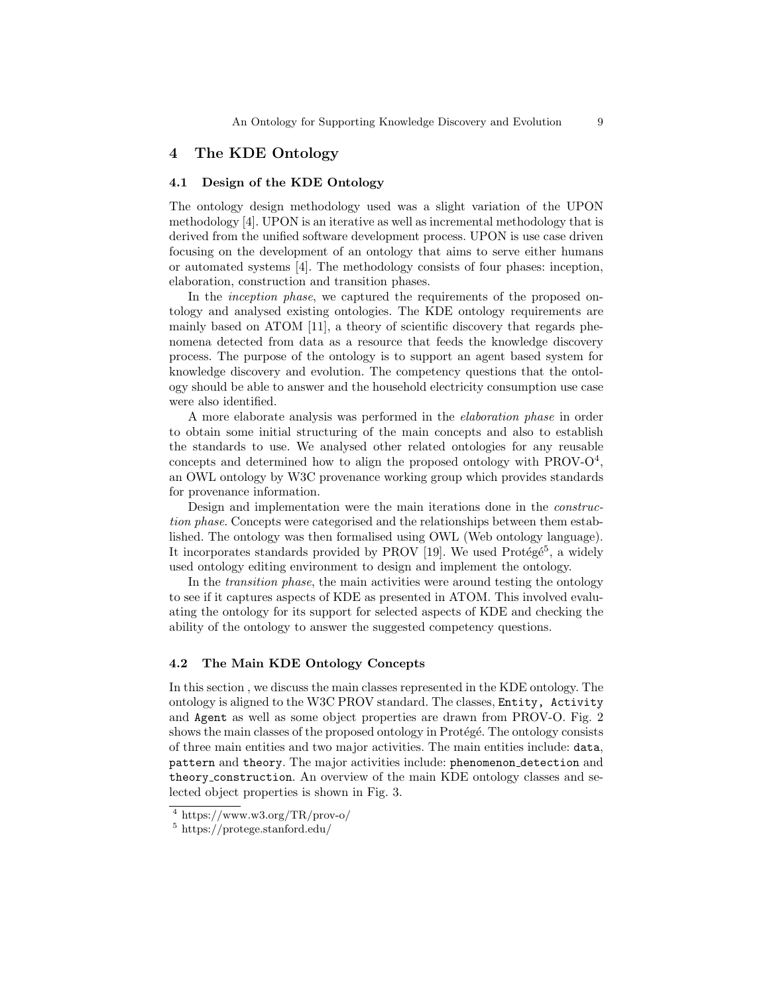## 4 The KDE Ontology

#### 4.1 Design of the KDE Ontology

The ontology design methodology used was a slight variation of the UPON methodology [4]. UPON is an iterative as well as incremental methodology that is derived from the unified software development process. UPON is use case driven focusing on the development of an ontology that aims to serve either humans or automated systems [4]. The methodology consists of four phases: inception, elaboration, construction and transition phases.

In the *inception phase*, we captured the requirements of the proposed ontology and analysed existing ontologies. The KDE ontology requirements are mainly based on ATOM [11], a theory of scientific discovery that regards phenomena detected from data as a resource that feeds the knowledge discovery process. The purpose of the ontology is to support an agent based system for knowledge discovery and evolution. The competency questions that the ontology should be able to answer and the household electricity consumption use case were also identified.

A more elaborate analysis was performed in the elaboration phase in order to obtain some initial structuring of the main concepts and also to establish the standards to use. We analysed other related ontologies for any reusable concepts and determined how to align the proposed ontology with  $PROV-O<sup>4</sup>$ , an OWL ontology by W3C provenance working group which provides standards for provenance information.

Design and implementation were the main iterations done in the construction phase. Concepts were categorised and the relationships between them established. The ontology was then formalised using OWL (Web ontology language). It incorporates standards provided by PROV [19]. We used Protégé<sup>5</sup>, a widely used ontology editing environment to design and implement the ontology.

In the transition phase, the main activities were around testing the ontology to see if it captures aspects of KDE as presented in ATOM. This involved evaluating the ontology for its support for selected aspects of KDE and checking the ability of the ontology to answer the suggested competency questions.

#### 4.2 The Main KDE Ontology Concepts

In this section , we discuss the main classes represented in the KDE ontology. The ontology is aligned to the W3C PROV standard. The classes, Entity, Activity and Agent as well as some object properties are drawn from PROV-O. Fig. 2 shows the main classes of the proposed ontology in Protégé. The ontology consists of three main entities and two major activities. The main entities include: data, pattern and theory. The major activities include: phenomenon detection and theory construction. An overview of the main KDE ontology classes and selected object properties is shown in Fig. 3.

 $^4$  https://www.w3.org/TR/prov-o/

<sup>5</sup> https://protege.stanford.edu/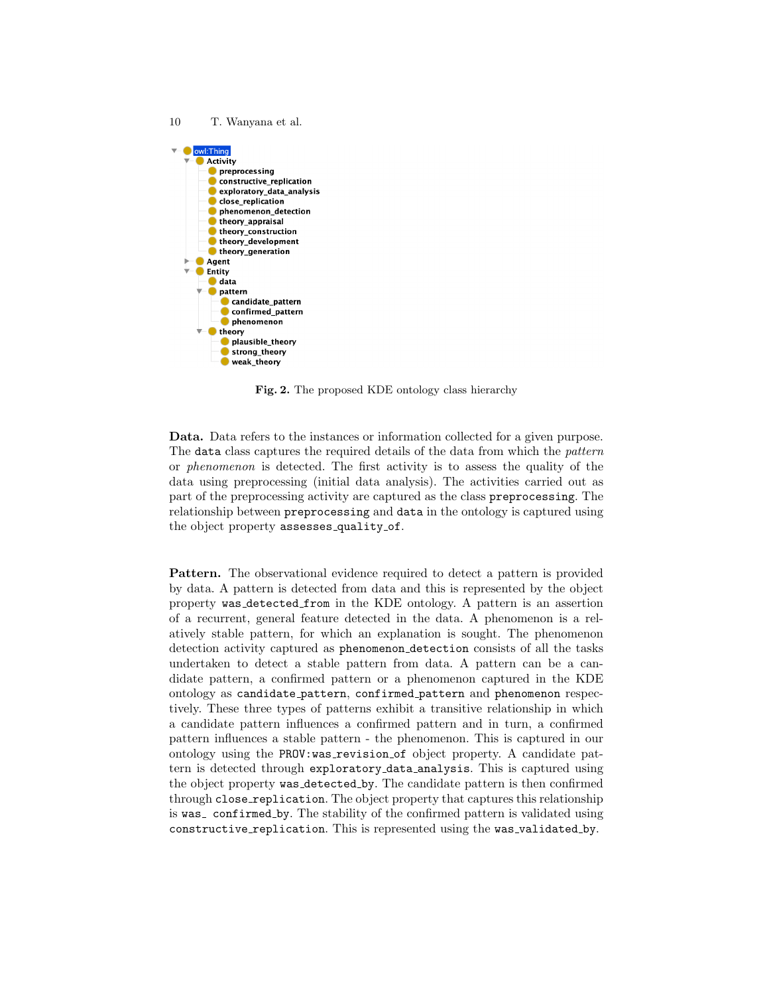

Fig. 2. The proposed KDE ontology class hierarchy

Data. Data refers to the instances or information collected for a given purpose. The data class captures the required details of the data from which the *pattern* or phenomenon is detected. The first activity is to assess the quality of the data using preprocessing (initial data analysis). The activities carried out as part of the preprocessing activity are captured as the class preprocessing. The relationship between preprocessing and data in the ontology is captured using the object property assesses\_quality\_of.

Pattern. The observational evidence required to detect a pattern is provided by data. A pattern is detected from data and this is represented by the object property was detected from in the KDE ontology. A pattern is an assertion of a recurrent, general feature detected in the data. A phenomenon is a relatively stable pattern, for which an explanation is sought. The phenomenon detection activity captured as phenomenon detection consists of all the tasks undertaken to detect a stable pattern from data. A pattern can be a candidate pattern, a confirmed pattern or a phenomenon captured in the KDE ontology as candidate pattern, confirmed pattern and phenomenon respectively. These three types of patterns exhibit a transitive relationship in which a candidate pattern influences a confirmed pattern and in turn, a confirmed pattern influences a stable pattern - the phenomenon. This is captured in our ontology using the PROV:was revision of object property. A candidate pattern is detected through exploratory data analysis. This is captured using the object property was detected by. The candidate pattern is then confirmed through close replication. The object property that captures this relationship is was confirmed by. The stability of the confirmed pattern is validated using constructive\_replication. This is represented using the was\_validated\_by.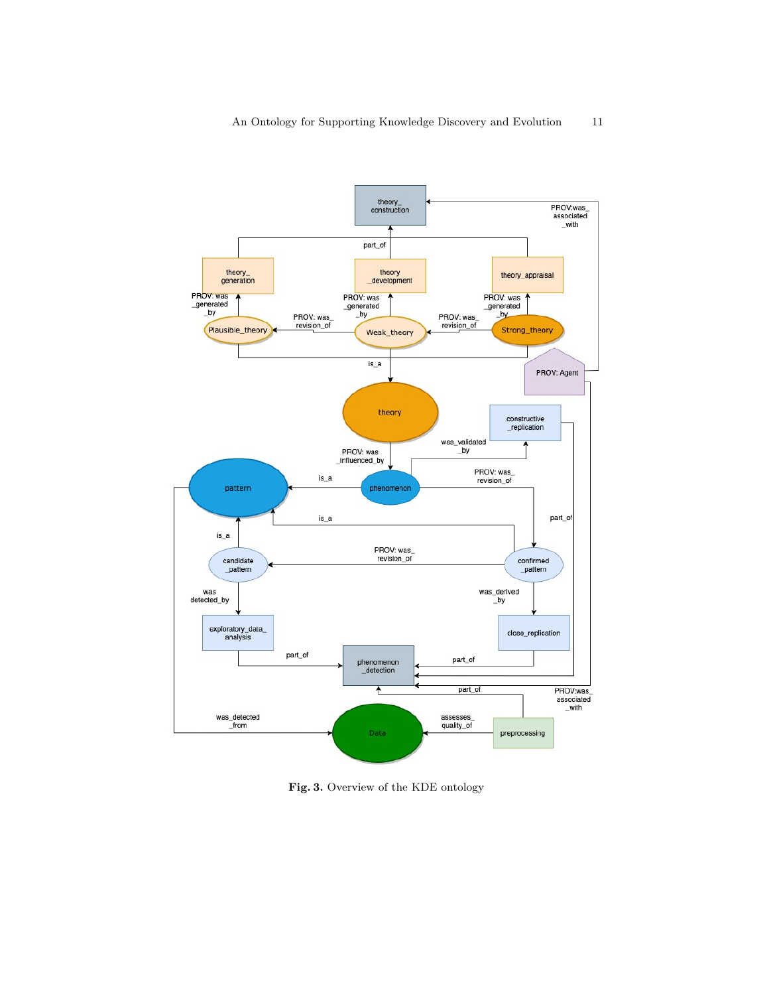

Fig. 3. Overview of the KDE ontology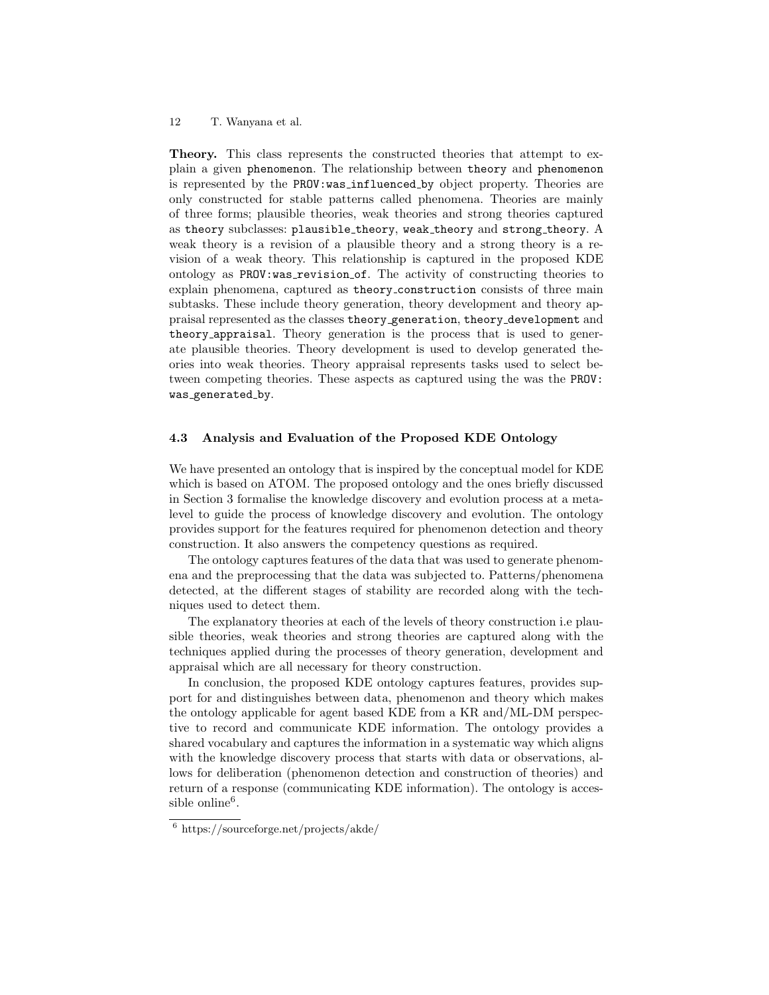Theory. This class represents the constructed theories that attempt to explain a given phenomenon. The relationship between theory and phenomenon is represented by the PROV:was influenced by object property. Theories are only constructed for stable patterns called phenomena. Theories are mainly of three forms; plausible theories, weak theories and strong theories captured as theory subclasses: plausible\_theory, weak\_theory and strong\_theory. A weak theory is a revision of a plausible theory and a strong theory is a revision of a weak theory. This relationship is captured in the proposed KDE ontology as PROV:was revision of. The activity of constructing theories to explain phenomena, captured as theory construction consists of three main subtasks. These include theory generation, theory development and theory appraisal represented as the classes theory generation, theory development and theory appraisal. Theory generation is the process that is used to generate plausible theories. Theory development is used to develop generated theories into weak theories. Theory appraisal represents tasks used to select between competing theories. These aspects as captured using the was the PROV: was\_generated\_by.

#### 4.3 Analysis and Evaluation of the Proposed KDE Ontology

We have presented an ontology that is inspired by the conceptual model for KDE which is based on ATOM. The proposed ontology and the ones briefly discussed in Section 3 formalise the knowledge discovery and evolution process at a metalevel to guide the process of knowledge discovery and evolution. The ontology provides support for the features required for phenomenon detection and theory construction. It also answers the competency questions as required.

The ontology captures features of the data that was used to generate phenomena and the preprocessing that the data was subjected to. Patterns/phenomena detected, at the different stages of stability are recorded along with the techniques used to detect them.

The explanatory theories at each of the levels of theory construction i.e plausible theories, weak theories and strong theories are captured along with the techniques applied during the processes of theory generation, development and appraisal which are all necessary for theory construction.

In conclusion, the proposed KDE ontology captures features, provides support for and distinguishes between data, phenomenon and theory which makes the ontology applicable for agent based KDE from a KR and/ML-DM perspective to record and communicate KDE information. The ontology provides a shared vocabulary and captures the information in a systematic way which aligns with the knowledge discovery process that starts with data or observations, allows for deliberation (phenomenon detection and construction of theories) and return of a response (communicating KDE information). The ontology is accessible online<sup>6</sup>.

<sup>6</sup> https://sourceforge.net/projects/akde/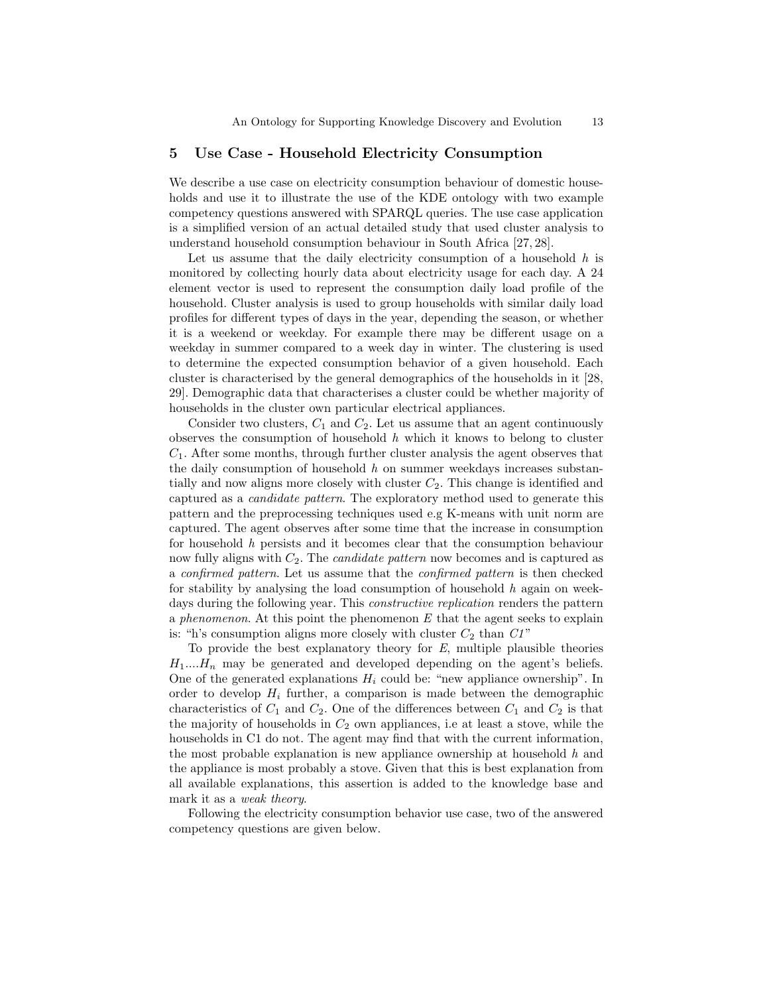### 5 Use Case - Household Electricity Consumption

We describe a use case on electricity consumption behaviour of domestic households and use it to illustrate the use of the KDE ontology with two example competency questions answered with SPARQL queries. The use case application is a simplified version of an actual detailed study that used cluster analysis to understand household consumption behaviour in South Africa [27, 28].

Let us assume that the daily electricity consumption of a household  $h$  is monitored by collecting hourly data about electricity usage for each day. A 24 element vector is used to represent the consumption daily load profile of the household. Cluster analysis is used to group households with similar daily load profiles for different types of days in the year, depending the season, or whether it is a weekend or weekday. For example there may be different usage on a weekday in summer compared to a week day in winter. The clustering is used to determine the expected consumption behavior of a given household. Each cluster is characterised by the general demographics of the households in it [28, 29]. Demographic data that characterises a cluster could be whether majority of households in the cluster own particular electrical appliances.

Consider two clusters,  $C_1$  and  $C_2$ . Let us assume that an agent continuously observes the consumption of household  $h$  which it knows to belong to cluster  $C_1$ . After some months, through further cluster analysis the agent observes that the daily consumption of household  $h$  on summer weekdays increases substantially and now aligns more closely with cluster  $C_2$ . This change is identified and captured as a candidate pattern. The exploratory method used to generate this pattern and the preprocessing techniques used e.g K-means with unit norm are captured. The agent observes after some time that the increase in consumption for household h persists and it becomes clear that the consumption behaviour now fully aligns with  $C_2$ . The *candidate pattern* now becomes and is captured as a confirmed pattern. Let us assume that the confirmed pattern is then checked for stability by analysing the load consumption of household  $h$  again on weekdays during the following year. This *constructive replication* renders the pattern a phenomenon. At this point the phenomenon  $E$  that the agent seeks to explain is: "h's consumption aligns more closely with cluster  $C_2$  than  $CI$ "

To provide the best explanatory theory for  $E$ , multiple plausible theories  $H_1...H_n$  may be generated and developed depending on the agent's beliefs. One of the generated explanations  $H_i$  could be: "new appliance ownership". In order to develop  $H_i$  further, a comparison is made between the demographic characteristics of  $C_1$  and  $C_2$ . One of the differences between  $C_1$  and  $C_2$  is that the majority of households in  $C_2$  own appliances, i.e at least a stove, while the households in C1 do not. The agent may find that with the current information, the most probable explanation is new appliance ownership at household  $h$  and the appliance is most probably a stove. Given that this is best explanation from all available explanations, this assertion is added to the knowledge base and mark it as a weak theory.

Following the electricity consumption behavior use case, two of the answered competency questions are given below.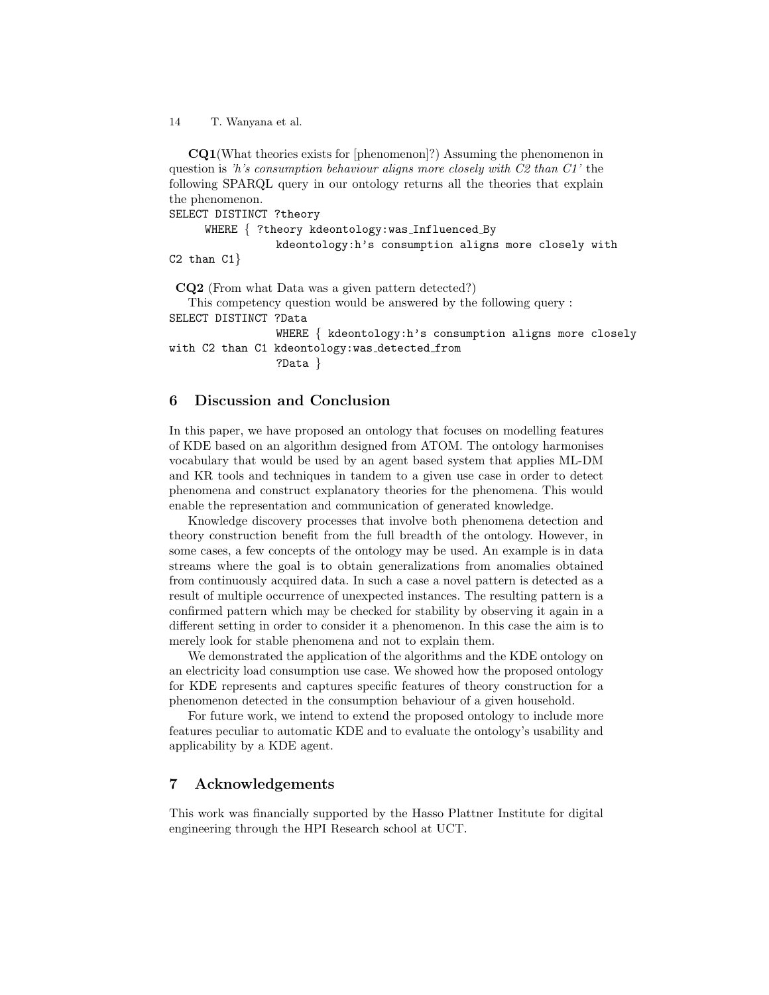CQ1(What theories exists for [phenomenon]?) Assuming the phenomenon in question is 'h's consumption behaviour aligns more closely with  $C2$  than  $C1$ ' the following SPARQL query in our ontology returns all the theories that explain the phenomenon.

SELECT DISTINCT ?theory

```
WHERE { ?theory kdeontology:was_Influenced_By
```
kdeontology:h's consumption aligns more closely with C2 than  $C1$ }

CQ2 (From what Data was a given pattern detected?)

This competency question would be answered by the following query : SELECT DISTINCT ?Data WHERE { kdeontology:h's consumption aligns more closely with C2 than C1 kdeontology: was\_detected\_from ?Data }

# 6 Discussion and Conclusion

In this paper, we have proposed an ontology that focuses on modelling features of KDE based on an algorithm designed from ATOM. The ontology harmonises vocabulary that would be used by an agent based system that applies ML-DM and KR tools and techniques in tandem to a given use case in order to detect phenomena and construct explanatory theories for the phenomena. This would enable the representation and communication of generated knowledge.

Knowledge discovery processes that involve both phenomena detection and theory construction benefit from the full breadth of the ontology. However, in some cases, a few concepts of the ontology may be used. An example is in data streams where the goal is to obtain generalizations from anomalies obtained from continuously acquired data. In such a case a novel pattern is detected as a result of multiple occurrence of unexpected instances. The resulting pattern is a confirmed pattern which may be checked for stability by observing it again in a different setting in order to consider it a phenomenon. In this case the aim is to merely look for stable phenomena and not to explain them.

We demonstrated the application of the algorithms and the KDE ontology on an electricity load consumption use case. We showed how the proposed ontology for KDE represents and captures specific features of theory construction for a phenomenon detected in the consumption behaviour of a given household.

For future work, we intend to extend the proposed ontology to include more features peculiar to automatic KDE and to evaluate the ontology's usability and applicability by a KDE agent.

# 7 Acknowledgements

This work was financially supported by the Hasso Plattner Institute for digital engineering through the HPI Research school at UCT.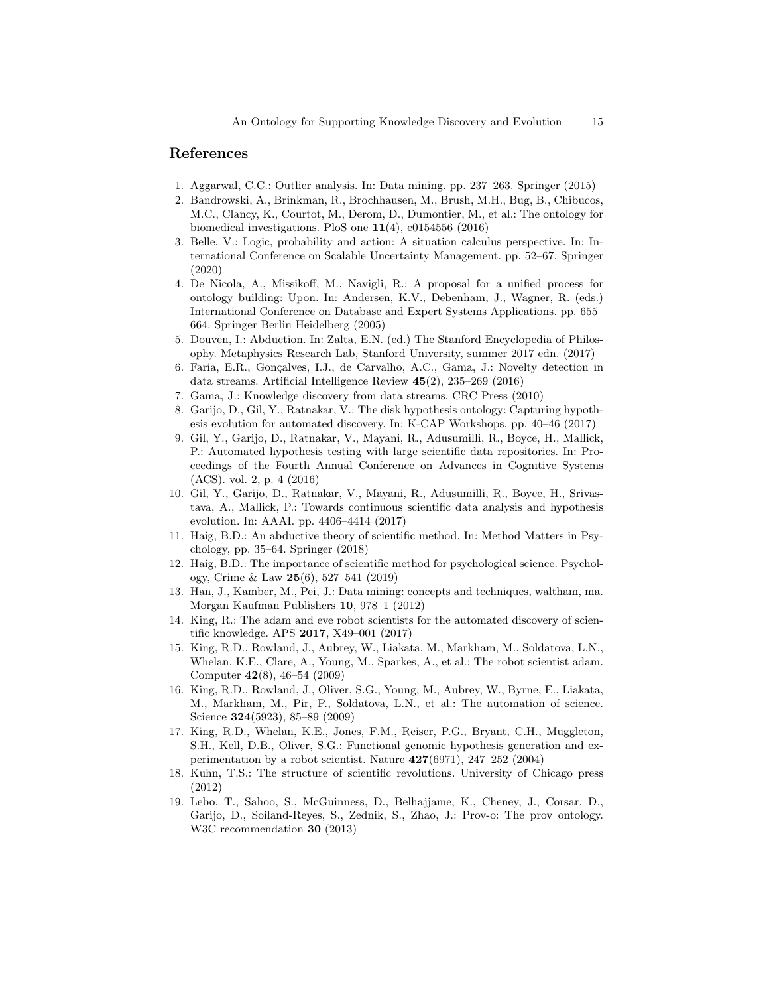## References

- 1. Aggarwal, C.C.: Outlier analysis. In: Data mining. pp. 237–263. Springer (2015)
- 2. Bandrowski, A., Brinkman, R., Brochhausen, M., Brush, M.H., Bug, B., Chibucos, M.C., Clancy, K., Courtot, M., Derom, D., Dumontier, M., et al.: The ontology for biomedical investigations. PloS one  $11(4)$ , e0154556 (2016)
- 3. Belle, V.: Logic, probability and action: A situation calculus perspective. In: International Conference on Scalable Uncertainty Management. pp. 52–67. Springer (2020)
- 4. De Nicola, A., Missikoff, M., Navigli, R.: A proposal for a unified process for ontology building: Upon. In: Andersen, K.V., Debenham, J., Wagner, R. (eds.) International Conference on Database and Expert Systems Applications. pp. 655– 664. Springer Berlin Heidelberg (2005)
- 5. Douven, I.: Abduction. In: Zalta, E.N. (ed.) The Stanford Encyclopedia of Philosophy. Metaphysics Research Lab, Stanford University, summer 2017 edn. (2017)
- 6. Faria, E.R., Gonçalves, I.J., de Carvalho, A.C., Gama, J.: Novelty detection in data streams. Artificial Intelligence Review 45(2), 235–269 (2016)
- 7. Gama, J.: Knowledge discovery from data streams. CRC Press (2010)
- 8. Garijo, D., Gil, Y., Ratnakar, V.: The disk hypothesis ontology: Capturing hypothesis evolution for automated discovery. In: K-CAP Workshops. pp. 40–46 (2017)
- 9. Gil, Y., Garijo, D., Ratnakar, V., Mayani, R., Adusumilli, R., Boyce, H., Mallick, P.: Automated hypothesis testing with large scientific data repositories. In: Proceedings of the Fourth Annual Conference on Advances in Cognitive Systems (ACS). vol. 2, p. 4 (2016)
- 10. Gil, Y., Garijo, D., Ratnakar, V., Mayani, R., Adusumilli, R., Boyce, H., Srivastava, A., Mallick, P.: Towards continuous scientific data analysis and hypothesis evolution. In: AAAI. pp. 4406–4414 (2017)
- 11. Haig, B.D.: An abductive theory of scientific method. In: Method Matters in Psychology, pp. 35–64. Springer (2018)
- 12. Haig, B.D.: The importance of scientific method for psychological science. Psychology, Crime & Law 25(6), 527–541 (2019)
- 13. Han, J., Kamber, M., Pei, J.: Data mining: concepts and techniques, waltham, ma. Morgan Kaufman Publishers 10, 978–1 (2012)
- 14. King, R.: The adam and eve robot scientists for the automated discovery of scientific knowledge. APS 2017, X49–001 (2017)
- 15. King, R.D., Rowland, J., Aubrey, W., Liakata, M., Markham, M., Soldatova, L.N., Whelan, K.E., Clare, A., Young, M., Sparkes, A., et al.: The robot scientist adam. Computer 42(8), 46–54 (2009)
- 16. King, R.D., Rowland, J., Oliver, S.G., Young, M., Aubrey, W., Byrne, E., Liakata, M., Markham, M., Pir, P., Soldatova, L.N., et al.: The automation of science. Science 324(5923), 85–89 (2009)
- 17. King, R.D., Whelan, K.E., Jones, F.M., Reiser, P.G., Bryant, C.H., Muggleton, S.H., Kell, D.B., Oliver, S.G.: Functional genomic hypothesis generation and experimentation by a robot scientist. Nature  $427(6971)$ ,  $247-252$  (2004)
- 18. Kuhn, T.S.: The structure of scientific revolutions. University of Chicago press (2012)
- 19. Lebo, T., Sahoo, S., McGuinness, D., Belhajjame, K., Cheney, J., Corsar, D., Garijo, D., Soiland-Reyes, S., Zednik, S., Zhao, J.: Prov-o: The prov ontology. W3C recommendation 30 (2013)